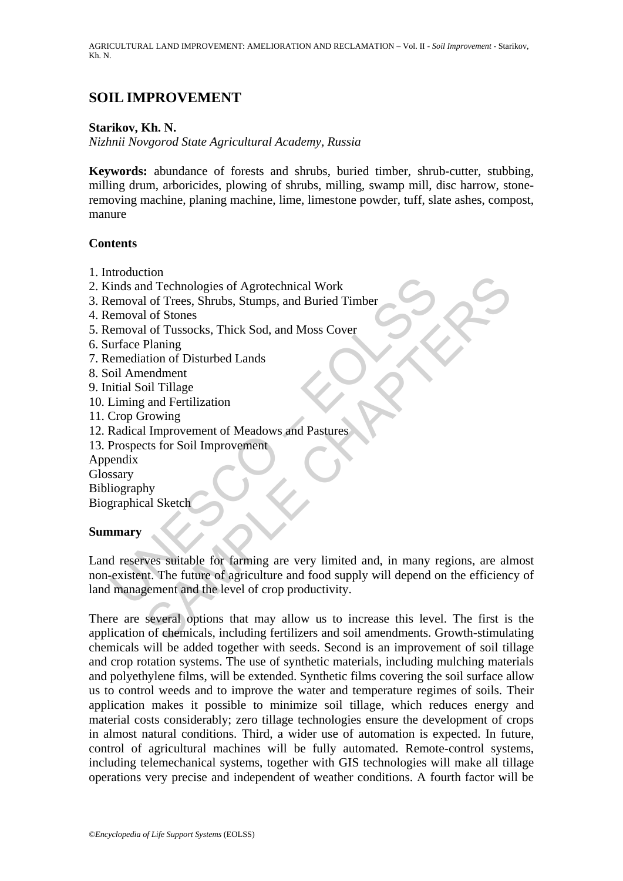AGRICULTURAL LAND IMPROVEMENT: AMELIORATION AND RECLAMATION – Vol. II - *Soil Improvement* - Starikov, Kh. N.

# **SOIL IMPROVEMENT**

### **Starikov, Kh. N.**

*Nizhnii Novgorod State Agricultural Academy, Russia* 

**Keywords:** abundance of forests and shrubs, buried timber, shrub-cutter, stubbing, milling drum, arboricides, plowing of shrubs, milling, swamp mill, disc harrow, stoneremoving machine, planing machine, lime, limestone powder, tuff, slate ashes, compost, manure

#### **Contents**

- 1. Introduction
- 2. Kinds and Technologies of Agrotechnical Work
- 3. Removal of Trees, Shrubs, Stumps, and Buried Timber
- 4. Removal of Stones
- 5. Removal of Tussocks, Thick Sod, and Moss Cover
- 6. Surface Planing
- 7. Remediation of Disturbed Lands
- 8. Soil Amendment
- 9. Initial Soil Tillage
- 10. Liming and Fertilization
- 11. Crop Growing
- 12. Radical Improvement of Meadows and Pastures
- 13. Prospects for Soil Improvement

Appendix

**Glossary** 

Bibliography

Biographical Sketch

#### **Summary**

Experimentation of Trees, Shrubs, Stumps, and Buried Timber<br>
emoval of Trees, Shrubs, Stumps, and Buried Timber<br>
emoval of Tussocks, Thick Sod, and Moss Cover<br>
emoval of Tussocks, Thick Sod, and Moss Cover<br>
emerdiation of From the methodogies of Agrotechnical Work<br>
In Treen, Shrubs, Stumps, and Buried Timber<br>
I of Tresocks, Thick Sod, and Moss Cover<br>
Planing<br>
Planing<br>
endment<br>
on O Disturbed Lands<br>
pil Tillage<br>
and Fertilization<br>
in Improve Land reserves suitable for farming are very limited and, in many regions, are almost non-existent. The future of agriculture and food supply will depend on the efficiency of land management and the level of crop productivity.

There are several options that may allow us to increase this level. The first is the application of chemicals, including fertilizers and soil amendments. Growth-stimulating chemicals will be added together with seeds. Second is an improvement of soil tillage and crop rotation systems. The use of synthetic materials, including mulching materials and polyethylene films, will be extended. Synthetic films covering the soil surface allow us to control weeds and to improve the water and temperature regimes of soils. Their application makes it possible to minimize soil tillage, which reduces energy and material costs considerably; zero tillage technologies ensure the development of crops in almost natural conditions. Third, a wider use of automation is expected. In future, control of agricultural machines will be fully automated. Remote-control systems, including telemechanical systems, together with GIS technologies will make all tillage operations very precise and independent of weather conditions. A fourth factor will be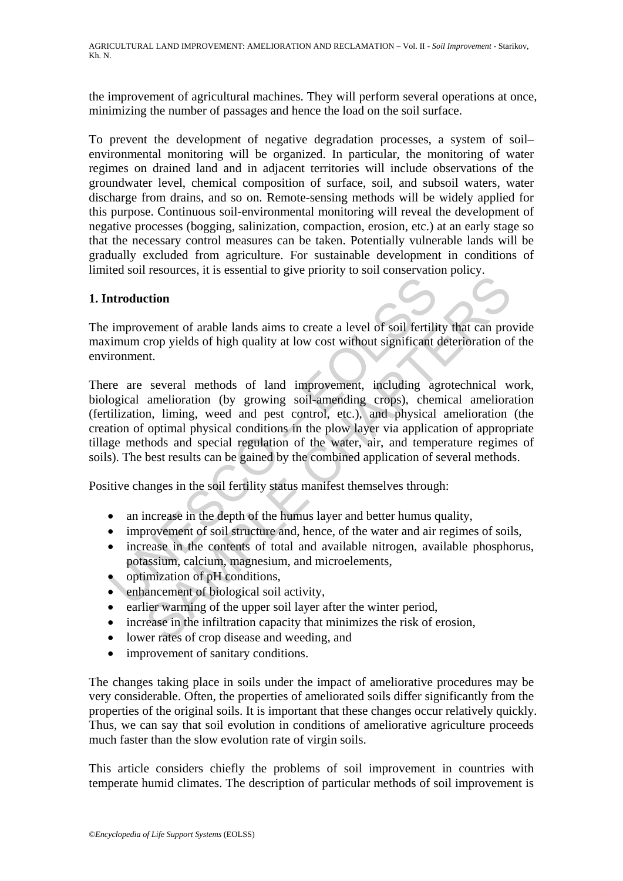AGRICULTURAL LAND IMPROVEMENT: AMELIORATION AND RECLAMATION – Vol. II - *Soil Improvement* - Starikov, Kh. N.

the improvement of agricultural machines. They will perform several operations at once, minimizing the number of passages and hence the load on the soil surface.

To prevent the development of negative degradation processes, a system of soil– environmental monitoring will be organized. In particular, the monitoring of water regimes on drained land and in adjacent territories will include observations of the groundwater level, chemical composition of surface, soil, and subsoil waters, water discharge from drains, and so on. Remote-sensing methods will be widely applied for this purpose. Continuous soil-environmental monitoring will reveal the development of negative processes (bogging, salinization, compaction, erosion, etc.) at an early stage so that the necessary control measures can be taken. Potentially vulnerable lands will be gradually excluded from agriculture. For sustainable development in conditions of limited soil resources, it is essential to give priority to soil conservation policy.

### **1. Introduction**

The improvement of arable lands aims to create a level of soil fertility that can provide maximum crop yields of high quality at low cost without significant deterioration of the environment.

**Example 18**<br>
improvement of arable lands aims to create a level of soil fertili<br>
imum crop yields of high quality at low cost without significant<br>
rearrow are a several methods of land improvement, including ago<br>
gogical **Example 18** and the same of and the same of the same of the same of the same of the same of the same of the same of the same of the same of the same of the same of the same of the same of the same of the same of the same There are several methods of land improvement, including agrotechnical work, biological amelioration (by growing soil-amending crops), chemical amelioration (fertilization, liming, weed and pest control, etc.), and physical amelioration (the creation of optimal physical conditions in the plow layer via application of appropriate tillage methods and special regulation of the water, air, and temperature regimes of soils). The best results can be gained by the combined application of several methods.

Positive changes in the soil fertility status manifest themselves through:

- an increase in the depth of the humus layer and better humus quality,
- improvement of soil structure and, hence, of the water and air regimes of soils,
- increase in the contents of total and available nitrogen, available phosphorus, potassium, calcium, magnesium, and microelements,
- optimization of pH conditions,
- enhancement of biological soil activity,
- earlier warming of the upper soil layer after the winter period,
- increase in the infiltration capacity that minimizes the risk of erosion,
- lower rates of crop disease and weeding, and
- improvement of sanitary conditions.

The changes taking place in soils under the impact of ameliorative procedures may be very considerable. Often, the properties of ameliorated soils differ significantly from the properties of the original soils. It is important that these changes occur relatively quickly. Thus, we can say that soil evolution in conditions of ameliorative agriculture proceeds much faster than the slow evolution rate of virgin soils.

This article considers chiefly the problems of soil improvement in countries with temperate humid climates. The description of particular methods of soil improvement is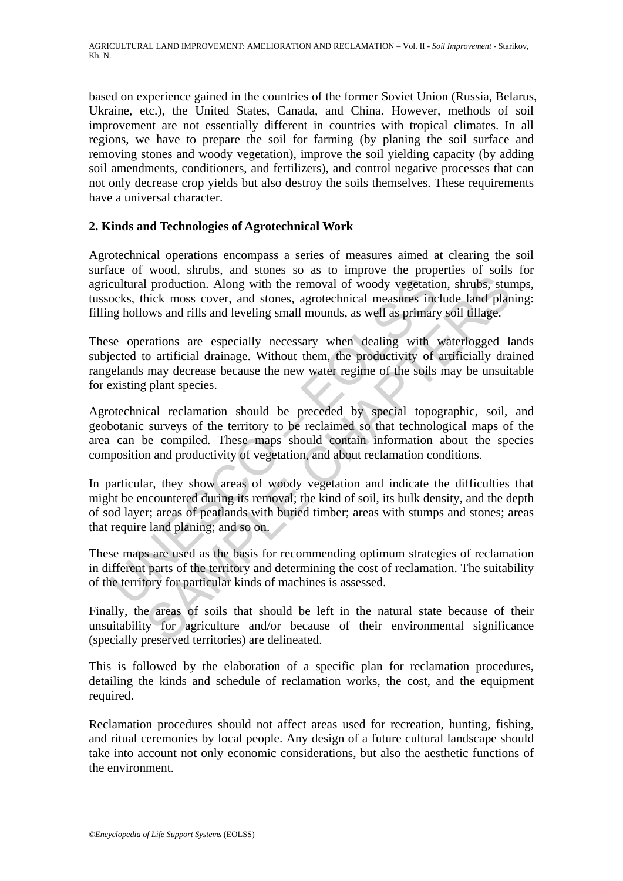based on experience gained in the countries of the former Soviet Union (Russia, Belarus, Ukraine, etc.), the United States, Canada, and China. However, methods of soil improvement are not essentially different in countries with tropical climates. In all regions, we have to prepare the soil for farming (by planing the soil surface and removing stones and woody vegetation), improve the soil yielding capacity (by adding soil amendments, conditioners, and fertilizers), and control negative processes that can not only decrease crop yields but also destroy the soils themselves. These requirements have a universal character.

## **2. Kinds and Technologies of Agrotechnical Work**

Agrotechnical operations encompass a series of measures aimed at clearing the soil surface of wood, shrubs, and stones so as to improve the properties of soils for agricultural production. Along with the removal of woody vegetation, shrubs, stumps, tussocks, thick moss cover, and stones, agrotechnical measures include land planing: filling hollows and rills and leveling small mounds, as well as primary soil tillage.

These operations are especially necessary when dealing with waterlogged lands subjected to artificial drainage. Without them, the productivity of artificially drained rangelands may decrease because the new water regime of the soils may be unsuitable for existing plant species.

cultural production. Along with the removal of woody vegetatic<br>ocks, thick moss cover, and stones, agrotechnical measures inc<br>g hollows and rills and leveling small mounds, as well as primary<br>se operations are especially n If production. Along with the removal of woody vegetation, shrubs, stunkick moss cover, and stones, agrotechnical measures include land plane was and rills and leveling small mounds, as well as primary soil tillage.<br>
Trans Agrotechnical reclamation should be preceded by special topographic, soil, and geobotanic surveys of the territory to be reclaimed so that technological maps of the area can be compiled. These maps should contain information about the species composition and productivity of vegetation, and about reclamation conditions.

In particular, they show areas of woody vegetation and indicate the difficulties that might be encountered during its removal; the kind of soil, its bulk density, and the depth of sod layer; areas of peatlands with buried timber; areas with stumps and stones; areas that require land planing; and so on.

These maps are used as the basis for recommending optimum strategies of reclamation in different parts of the territory and determining the cost of reclamation. The suitability of the territory for particular kinds of machines is assessed.

Finally, the areas of soils that should be left in the natural state because of their unsuitability for agriculture and/or because of their environmental significance (specially preserved territories) are delineated.

This is followed by the elaboration of a specific plan for reclamation procedures, detailing the kinds and schedule of reclamation works, the cost, and the equipment required.

Reclamation procedures should not affect areas used for recreation, hunting, fishing, and ritual ceremonies by local people. Any design of a future cultural landscape should take into account not only economic considerations, but also the aesthetic functions of the environment.